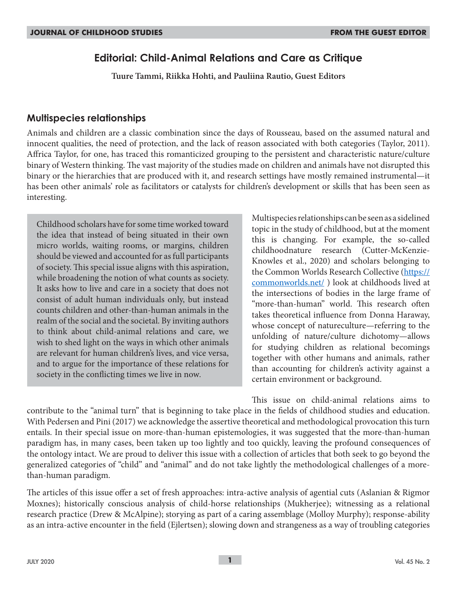# **Editorial: Child-Animal Relations and Care as Critique**

**Tuure Tammi, Riikka Hohti, and Pauliina Rautio, Guest Editors**

## **Multispecies relationships**

Animals and children are a classic combination since the days of Rousseau, based on the assumed natural and innocent qualities, the need of protection, and the lack of reason associated with both categories (Taylor, 2011). Affrica Taylor, for one, has traced this romanticized grouping to the persistent and characteristic nature/culture binary of Western thinking. The vast majority of the studies made on children and animals have not disrupted this binary or the hierarchies that are produced with it, and research settings have mostly remained instrumental—it has been other animals' role as facilitators or catalysts for children's development or skills that has been seen as interesting.

Childhood scholars have for some time worked toward the idea that instead of being situated in their own micro worlds, waiting rooms, or margins, children should be viewed and accounted for as full participants of society. This special issue aligns with this aspiration, while broadening the notion of what counts as society. It asks how to live and care in a society that does not consist of adult human individuals only, but instead counts children and other-than-human animals in the realm of the social and the societal. By inviting authors to think about child-animal relations and care, we wish to shed light on the ways in which other animals are relevant for human children's lives, and vice versa, and to argue for the importance of these relations for society in the conflicting times we live in now*.*

Multispecies relationships can be seen as a sidelined topic in the study of childhood, but at the moment this is changing. For example, the so-called childhoodnature research (Cutter-McKenzie-Knowles et al., 2020) and scholars belonging to the Common Worlds Research Collective (https:// commonworlds.net/ ) look at childhoods lived at the intersections of bodies in the large frame of "more-than-human" world. This research often takes theoretical influence from Donna Haraway, whose concept of natureculture—referring to the unfolding of nature/culture dichotomy—allows for studying children as relational becomings together with other humans and animals, rather than accounting for children's activity against a certain environment or background.

This issue on child-animal relations aims to contribute to the "animal turn" that is beginning to take place in the fields of childhood studies and education. With Pedersen and Pini (2017) we acknowledge the assertive theoretical and methodological provocation this turn entails. In their special issue on more-than-human epistemologies, it was suggested that the more-than-human paradigm has, in many cases, been taken up too lightly and too quickly, leaving the profound consequences of the ontology intact. We are proud to deliver this issue with a collection of articles that both seek to go beyond the generalized categories of "child" and "animal" and do not take lightly the methodological challenges of a morethan-human paradigm.

The articles of this issue offer a set of fresh approaches: intra-active analysis of agential cuts (Aslanian & Rigmor Moxnes); historically conscious analysis of child-horse relationships (Mukherjee); witnessing as a relational research practice (Drew & McAlpine); storying as part of a caring assemblage (Molloy Murphy); response-ability as an intra-active encounter in the field (Ejlertsen); slowing down and strangeness as a way of troubling categories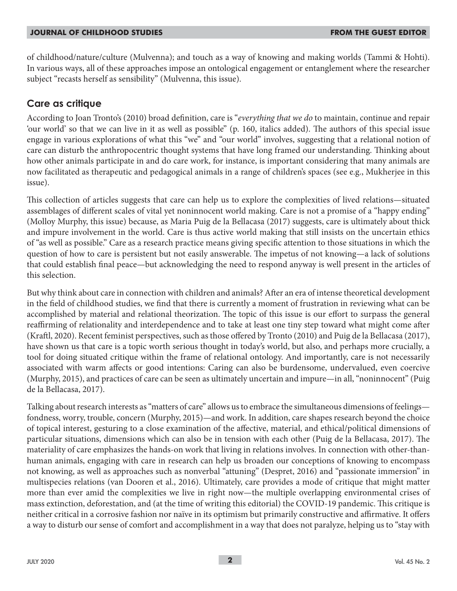#### **JOURNAL OF CHILDHOOD STUDIES FROM THE GUEST EDITOR**

of childhood/nature/culture (Mulvenna); and touch as a way of knowing and making worlds (Tammi & Hohti). In various ways, all of these approaches impose an ontological engagement or entanglement where the researcher subject "recasts herself as sensibility" (Mulvenna, this issue).

## **Care as critique**

According to Joan Tronto's (2010) broad definition, care is "*everything that we do* to maintain, continue and repair 'our world' so that we can live in it as well as possible" (p. 160, italics added). The authors of this special issue engage in various explorations of what this "we" and "our world" involves, suggesting that a relational notion of care can disturb the anthropocentric thought systems that have long framed our understanding. Thinking about how other animals participate in and do care work, for instance, is important considering that many animals are now facilitated as therapeutic and pedagogical animals in a range of children's spaces (see e.g., Mukherjee in this issue).

This collection of articles suggests that care can help us to explore the complexities of lived relations—situated assemblages of different scales of vital yet noninnocent world making. Care is not a promise of a "happy ending" (Molloy Murphy, this issue) because, as Maria Puig de la Bellacasa (2017) suggests, care is ultimately about thick and impure involvement in the world. Care is thus active world making that still insists on the uncertain ethics of "as well as possible." Care as a research practice means giving specific attention to those situations in which the question of how to care is persistent but not easily answerable. The impetus of not knowing—a lack of solutions that could establish final peace—but acknowledging the need to respond anyway is well present in the articles of this selection.

But why think about care in connection with children and animals? After an era of intense theoretical development in the field of childhood studies, we find that there is currently a moment of frustration in reviewing what can be accomplished by material and relational theorization. The topic of this issue is our effort to surpass the general reaffirming of relationality and interdependence and to take at least one tiny step toward what might come after (Kraftl, 2020). Recent feminist perspectives, such as those offered by Tronto (2010) and Puig de la Bellacasa (2017), have shown us that care is a topic worth serious thought in today's world, but also, and perhaps more crucially, a tool for doing situated critique within the frame of relational ontology. And importantly, care is not necessarily associated with warm affects or good intentions: Caring can also be burdensome, undervalued, even coercive (Murphy, 2015), and practices of care can be seen as ultimately uncertain and impure—in all, "noninnocent" (Puig de la Bellacasa, 2017).

Talking about research interests as "matters of care" allows us to embrace the simultaneous dimensions of feelings fondness, worry, trouble, concern (Murphy, 2015)—and work. In addition, care shapes research beyond the choice of topical interest, gesturing to a close examination of the affective, material, and ethical/political dimensions of particular situations, dimensions which can also be in tension with each other (Puig de la Bellacasa, 2017). The materiality of care emphasizes the hands-on work that living in relations involves. In connection with other-thanhuman animals, engaging with care in research can help us broaden our conceptions of knowing to encompass not knowing, as well as approaches such as nonverbal "attuning" (Despret, 2016) and "passionate immersion" in multispecies relations (van Dooren et al., 2016). Ultimately, care provides a mode of critique that might matter more than ever amid the complexities we live in right now—the multiple overlapping environmental crises of mass extinction, deforestation, and (at the time of writing this editorial) the COVID-19 pandemic. This critique is neither critical in a corrosive fashion nor naïve in its optimism but primarily constructive and affirmative. It offers a way to disturb our sense of comfort and accomplishment in a way that does not paralyze, helping us to "stay with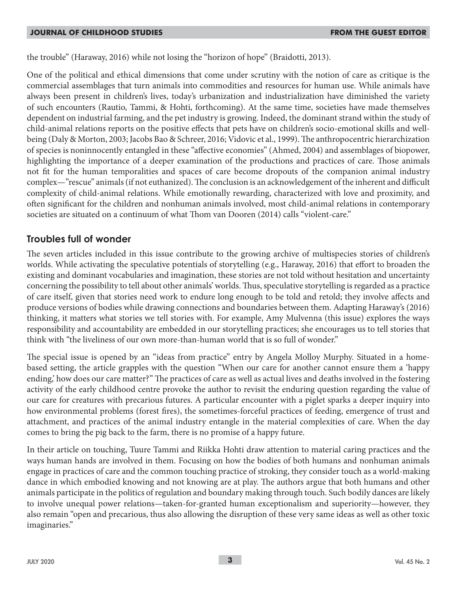the trouble" (Haraway, 2016) while not losing the "horizon of hope" (Braidotti, 2013).

One of the political and ethical dimensions that come under scrutiny with the notion of care as critique is the commercial assemblages that turn animals into commodities and resources for human use. While animals have always been present in children's lives, today's urbanization and industrialization have diminished the variety of such encounters (Rautio, Tammi, & Hohti, forthcoming). At the same time, societies have made themselves dependent on industrial farming, and the pet industry is growing. Indeed, the dominant strand within the study of child-animal relations reports on the positive effects that pets have on children's socio-emotional skills and wellbeing (Daly & Morton, 2003; Jacobs Bao & Schreer, 2016; Vidovic et al., 1999). The anthropocentric hierarchization of species is noninnocently entangled in these "affective economies" (Ahmed, 2004) and assemblages of biopower, highlighting the importance of a deeper examination of the productions and practices of care. Those animals not fit for the human temporalities and spaces of care become dropouts of the companion animal industry complex—"rescue" animals (if not euthanized). The conclusion is an acknowledgement of the inherent and difficult complexity of child-animal relations. While emotionally rewarding, characterized with love and proximity, and often significant for the children and nonhuman animals involved, most child-animal relations in contemporary societies are situated on a continuum of what Thom van Dooren (2014) calls "violent-care."

## **Troubles full of wonder**

The seven articles included in this issue contribute to the growing archive of multispecies stories of children's worlds. While activating the speculative potentials of storytelling (e.g., Haraway, 2016) that effort to broaden the existing and dominant vocabularies and imagination, these stories are not told without hesitation and uncertainty concerning the possibility to tell about other animals' worlds. Thus, speculative storytelling is regarded as a practice of care itself, given that stories need work to endure long enough to be told and retold; they involve affects and produce versions of bodies while drawing connections and boundaries between them. Adapting Haraway's (2016) thinking, it matters what stories we tell stories with. For example, Amy Mulvenna (this issue) explores the ways responsibility and accountability are embedded in our storytelling practices; she encourages us to tell stories that think with "the liveliness of our own more-than-human world that is so full of wonder."

The special issue is opened by an "ideas from practice" entry by Angela Molloy Murphy. Situated in a homebased setting, the article grapples with the question "When our care for another cannot ensure them a 'happy ending,' how does our care matter?" The practices of care as well as actual lives and deaths involved in the fostering activity of the early childhood centre provoke the author to revisit the enduring question regarding the value of our care for creatures with precarious futures. A particular encounter with a piglet sparks a deeper inquiry into how environmental problems (forest fires), the sometimes-forceful practices of feeding, emergence of trust and attachment, and practices of the animal industry entangle in the material complexities of care. When the day comes to bring the pig back to the farm, there is no promise of a happy future.

In their article on touching, Tuure Tammi and Riikka Hohti draw attention to material caring practices and the ways human hands are involved in them. Focusing on how the bodies of both humans and nonhuman animals engage in practices of care and the common touching practice of stroking, they consider touch as a world-making dance in which embodied knowing and not knowing are at play. The authors argue that both humans and other animals participate in the politics of regulation and boundary making through touch. Such bodily dances are likely to involve unequal power relations—taken-for-granted human exceptionalism and superiority—however, they also remain "open and precarious, thus also allowing the disruption of these very same ideas as well as other toxic imaginaries."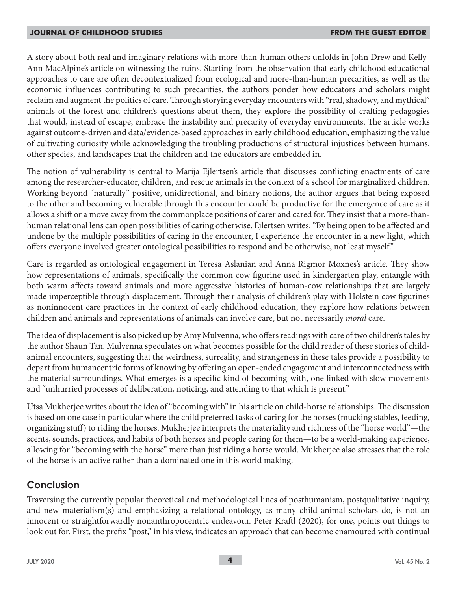A story about both real and imaginary relations with more-than-human others unfolds in John Drew and Kelly-Ann MacAlpine's article on witnessing the ruins. Starting from the observation that early childhood educational approaches to care are often decontextualized from ecological and more-than-human precarities, as well as the economic influences contributing to such precarities, the authors ponder how educators and scholars might reclaim and augment the politics of care. Through storying everyday encounters with "real, shadowy, and mythical" animals of the forest and children's questions about them, they explore the possibility of crafting pedagogies that would, instead of escape, embrace the instability and precarity of everyday environments. The article works against outcome-driven and data/evidence-based approaches in early childhood education, emphasizing the value of cultivating curiosity while acknowledging the troubling productions of structural injustices between humans, other species, and landscapes that the children and the educators are embedded in.

The notion of vulnerability is central to Marija Ejlertsen's article that discusses conflicting enactments of care among the researcher-educator, children, and rescue animals in the context of a school for marginalized children. Working beyond "naturally" positive, unidirectional, and binary notions, the author argues that being exposed to the other and becoming vulnerable through this encounter could be productive for the emergence of care as it allows a shift or a move away from the commonplace positions of carer and cared for. They insist that a more-thanhuman relational lens can open possibilities of caring otherwise. Ejlertsen writes: "By being open to be affected and undone by the multiple possibilities of caring in the encounter, I experience the encounter in a new light, which offers everyone involved greater ontological possibilities to respond and be otherwise, not least myself."

Care is regarded as ontological engagement in Teresa Aslanian and Anna Rigmor Moxnes's article. They show how representations of animals, specifically the common cow figurine used in kindergarten play, entangle with both warm affects toward animals and more aggressive histories of human-cow relationships that are largely made imperceptible through displacement. Through their analysis of children's play with Holstein cow figurines as noninnocent care practices in the context of early childhood education, they explore how relations between children and animals and representations of animals can involve care, but not necessarily *moral* care.

The idea of displacement is also picked up by Amy Mulvenna, who offers readings with care of two children's tales by the author Shaun Tan. Mulvenna speculates on what becomes possible for the child reader of these stories of childanimal encounters, suggesting that the weirdness, surreality, and strangeness in these tales provide a possibility to depart from humancentric forms of knowing by offering an open-ended engagement and interconnectedness with the material surroundings. What emerges is a specific kind of becoming-with, one linked with slow movements and "unhurried processes of deliberation, noticing, and attending to that which is present."

Utsa Mukherjee writes about the idea of "becoming with" in his article on child-horse relationships. The discussion is based on one case in particular where the child preferred tasks of caring for the horses (mucking stables, feeding, organizing stuff) to riding the horses. Mukherjee interprets the materiality and richness of the "horse world"—the scents, sounds, practices, and habits of both horses and people caring for them—to be a world-making experience, allowing for "becoming with the horse" more than just riding a horse would. Mukherjee also stresses that the role of the horse is an active rather than a dominated one in this world making.

## **Conclusion**

Traversing the currently popular theoretical and methodological lines of posthumanism, postqualitative inquiry, and new materialism(s) and emphasizing a relational ontology, as many child-animal scholars do, is not an innocent or straightforwardly nonanthropocentric endeavour. Peter Kraftl (2020), for one, points out things to look out for. First, the prefix "post," in his view, indicates an approach that can become enamoured with continual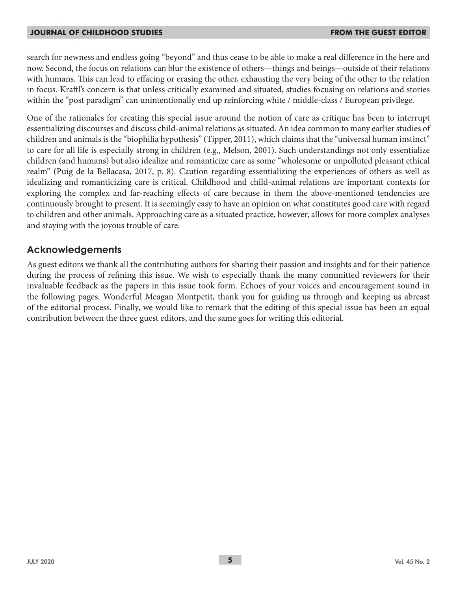#### **JOURNAL OF CHILDHOOD STUDIES FROM THE GUEST EDITOR**

search for newness and endless going "beyond" and thus cease to be able to make a real difference in the here and now. Second, the focus on relations can blur the existence of others—things and beings—outside of their relations with humans. This can lead to effacing or erasing the other, exhausting the very being of the other to the relation in focus. Kraftl's concern is that unless critically examined and situated, studies focusing on relations and stories within the "post paradigm" can unintentionally end up reinforcing white / middle-class / European privilege.

One of the rationales for creating this special issue around the notion of care as critique has been to interrupt essentializing discourses and discuss child-animal relations as situated. An idea common to many earlier studies of children and animals is the "biophilia hypothesis" (Tipper, 2011), which claims that the "universal human instinct" to care for all life is especially strong in children (e.g., Melson, 2001). Such understandings not only essentialize children (and humans) but also idealize and romanticize care as some "wholesome or unpolluted pleasant ethical realm" (Puig de la Bellacasa, 2017, p. 8). Caution regarding essentializing the experiences of others as well as idealizing and romanticizing care is critical. Childhood and child-animal relations are important contexts for exploring the complex and far-reaching effects of care because in them the above-mentioned tendencies are continuously brought to present. It is seemingly easy to have an opinion on what constitutes good care with regard to children and other animals. Approaching care as a situated practice, however, allows for more complex analyses and staying with the joyous trouble of care.

## **Acknowledgements**

As guest editors we thank all the contributing authors for sharing their passion and insights and for their patience during the process of refining this issue. We wish to especially thank the many committed reviewers for their invaluable feedback as the papers in this issue took form. Echoes of your voices and encouragement sound in the following pages. Wonderful Meagan Montpetit, thank you for guiding us through and keeping us abreast of the editorial process. Finally, we would like to remark that the editing of this special issue has been an equal contribution between the three guest editors, and the same goes for writing this editorial.